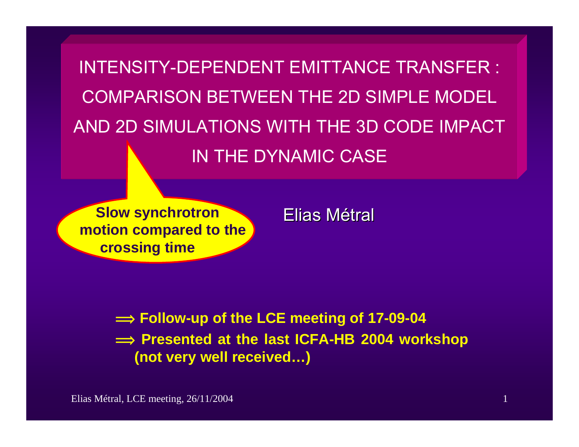INTENSITY-DEPENDENT EMITTANCE TRANSFER :COMPARISON BETWEEN THE 2D SIMPLE MODELAND 2D SIMULATIONS WITH THE 3D CODE IMPACTIN THE DYNAMIC CASE

**Slow synchrotron motion compared to the crossing time**

Elias Métral

 $\implies$  Follow-up of the LCE meeting of 17-09-04  $\implies$  **Presented at the last ICFA-HB 2004 workshop (not very well received…)**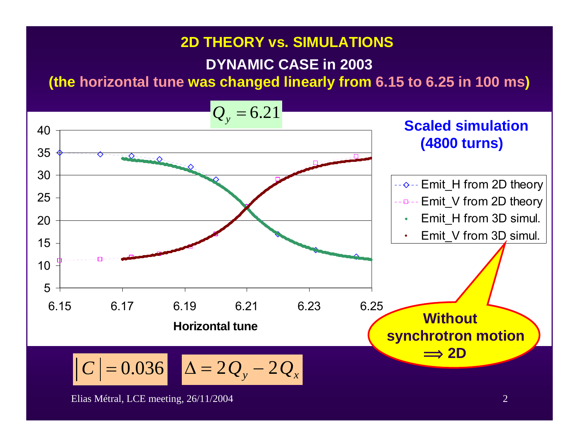#### **2D THEORY vs. SIMULATIONS**

#### **DYNAMIC CASE in 2003**

**(the horizontal tune was changed linearly from 6.15 to 6.25 in 100 ms)**

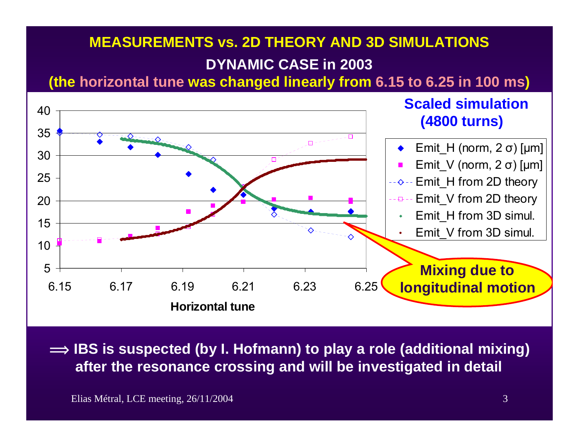### **DYNAMIC CASE in 2003 MEASUREMENTS vs. 2D THEORY AND 3D SIMULATIONS**

**(the horizontal tune was changed linearly from 6.15 to 6.25 in 100 ms)**



 $\implies$  IBS is suspected (by I. Hofmann) to play a role (additional mixing) **after the resonance crossing and will be investigated in detail** 

Elias Métral, LCE meeting, 26/11/2004 3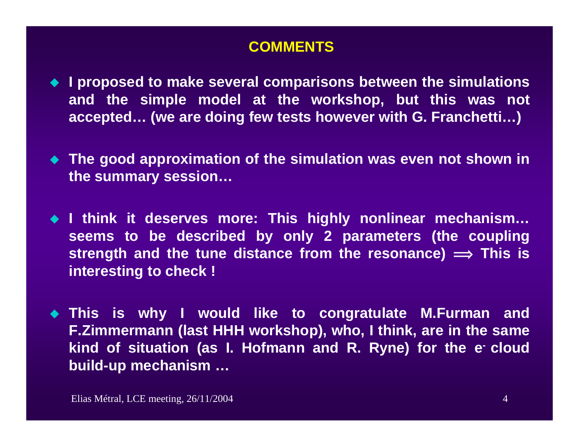#### **COMMENTS**

- ◆ I proposed to make several comparisons between the simulations **and the simple model at the workshop, but this was not accepted… (we are doing few tests however with G. Franchetti…)**
- **The good approximation of the simulation was even not shown in the summary session…**
- **I think it deserves more: This highly nonlinear mechanism… seems to be described by only 2 parameters (the coupling strength and the tune distance from the resonance)**  $\implies$  **This is interesting to check !**
- **This is why I would like to congratulate M.Furman and F.Zimmermann (last HHH workshop), who, I think, are in the same**  kind of situation (as I. Hofmann and R. Ryne) for the e<sup>-</sup> cloud **build-up mechanism …**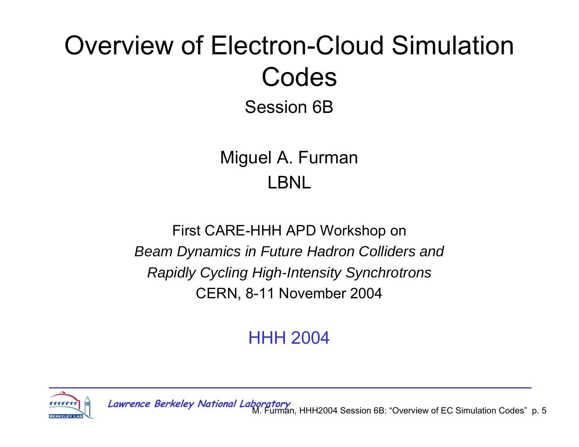# Overview of Electron-Cloud Simulation Codes

Session 6B

Miguel A. Furman LBNL

First CARE-HHH APD Workshop on *Beam Dynamics in Future Hadron Colliders and Rapidly Cycling High-Intensity Synchrotrons* CERN, 8-11 November 2004

HHH 2004



M. Furman, HHH2004 Session 6B: "Overview of EC Simulation Codes" p. 5 **Lawrence Berkeley National Laboratory**